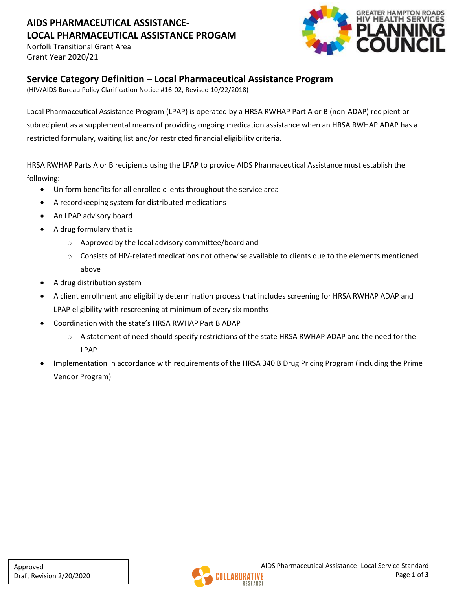# **AIDS PHARMACEUTICAL ASSISTANCE-LOCAL PHARMACEUTICAL ASSISTANCE PROGAM**

Norfolk Transitional Grant Area Grant Year 2020/21



#### **Service Category Definition – Local Pharmaceutical Assistance Program**

(HIV/AIDS Bureau Policy Clarification Notice #16-02, Revised 10/22/2018)

Local Pharmaceutical Assistance Program (LPAP) is operated by a HRSA RWHAP Part A or B (non-ADAP) recipient or subrecipient as a supplemental means of providing ongoing medication assistance when an HRSA RWHAP ADAP has a restricted formulary, waiting list and/or restricted financial eligibility criteria.

HRSA RWHAP Parts A or B recipients using the LPAP to provide AIDS Pharmaceutical Assistance must establish the following:

- Uniform benefits for all enrolled clients throughout the service area
- A recordkeeping system for distributed medications
- An LPAP advisory board
- A drug formulary that is
	- o Approved by the local advisory committee/board and
	- $\circ$  Consists of HIV-related medications not otherwise available to clients due to the elements mentioned above
- A drug distribution system
- A client enrollment and eligibility determination process that includes screening for HRSA RWHAP ADAP and LPAP eligibility with rescreening at minimum of every six months
- Coordination with the state's HRSA RWHAP Part B ADAP
	- $\circ$  A statement of need should specify restrictions of the state HRSA RWHAP ADAP and the need for the LPAP
- Implementation in accordance with requirements of the HRSA 340 B Drug Pricing Program (including the Prime Vendor Program)

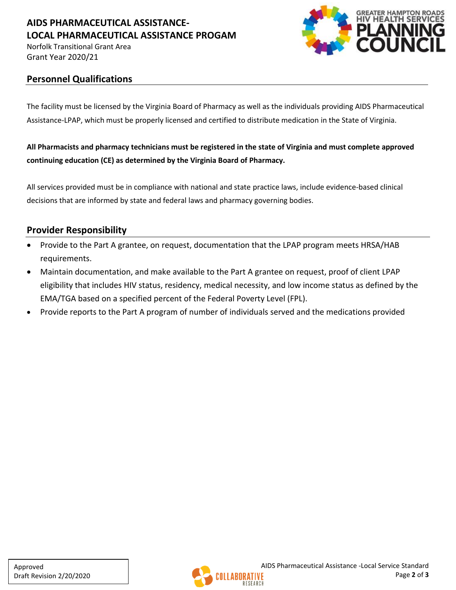## **AIDS PHARMACEUTICAL ASSISTANCE-LOCAL PHARMACEUTICAL ASSISTANCE PROGAM**

Norfolk Transitional Grant Area Grant Year 2020/21



#### **Personnel Qualifications**

The facility must be licensed by the Virginia Board of Pharmacy as well as the individuals providing AIDS Pharmaceutical Assistance-LPAP, which must be properly licensed and certified to distribute medication in the State of Virginia.

### **All Pharmacists and pharmacy technicians must be registered in the state of Virginia and must complete approved continuing education (CE) as determined by the Virginia Board of Pharmacy.**

All services provided must be in compliance with national and state practice laws, include evidence-based clinical decisions that are informed by state and federal laws and pharmacy governing bodies.

## **Provider Responsibility**

- Provide to the Part A grantee, on request, documentation that the LPAP program meets HRSA/HAB requirements.
- Maintain documentation, and make available to the Part A grantee on request, proof of client LPAP eligibility that includes HIV status, residency, medical necessity, and low income status as defined by the EMA/TGA based on a specified percent of the Federal Poverty Level (FPL).
- Provide reports to the Part A program of number of individuals served and the medications provided